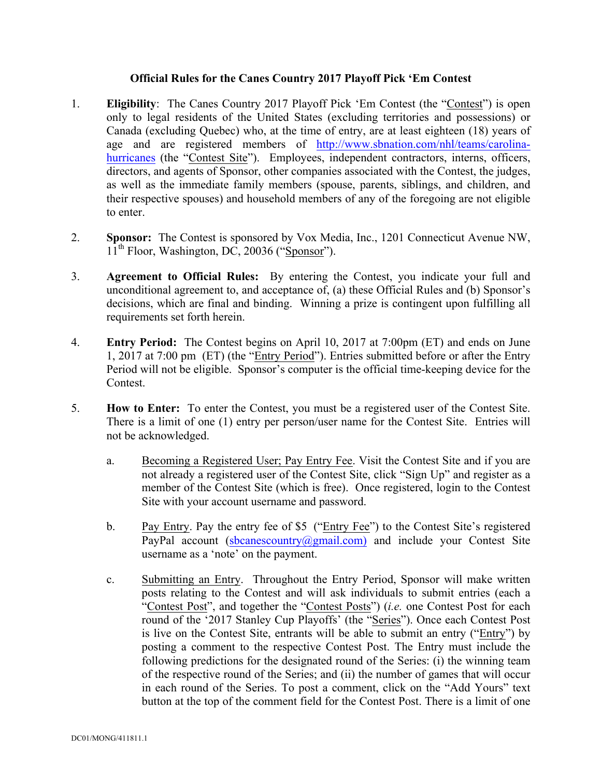## **Official Rules for the Canes Country 2017 Playoff Pick 'Em Contest**

- 1. **Eligibility**: The Canes Country 2017 Playoff Pick 'Em Contest (the "Contest") is open only to legal residents of the United States (excluding territories and possessions) or Canada (excluding Quebec) who, at the time of entry, are at least eighteen (18) years of age and are registered members of http://www.sbnation.com/nhl/teams/carolinahurricanes (the "Contest Site"). Employees, independent contractors, interns, officers, directors, and agents of Sponsor, other companies associated with the Contest, the judges, as well as the immediate family members (spouse, parents, siblings, and children, and their respective spouses) and household members of any of the foregoing are not eligible to enter.
- 2. **Sponsor:** The Contest is sponsored by Vox Media, Inc., 1201 Connecticut Avenue NW,  $11<sup>th</sup>$  Floor, Washington, DC, 20036 ("Sponsor").
- 3. **Agreement to Official Rules:** By entering the Contest, you indicate your full and unconditional agreement to, and acceptance of, (a) these Official Rules and (b) Sponsor's decisions, which are final and binding. Winning a prize is contingent upon fulfilling all requirements set forth herein.
- 4. **Entry Period:** The Contest begins on April 10, 2017 at 7:00pm (ET) and ends on June 1, 2017 at 7:00 pm (ET) (the "Entry Period"). Entries submitted before or after the Entry Period will not be eligible. Sponsor's computer is the official time-keeping device for the Contest.
- 5. **How to Enter:** To enter the Contest, you must be a registered user of the Contest Site. There is a limit of one (1) entry per person/user name for the Contest Site. Entries will not be acknowledged.
	- a. Becoming a Registered User; Pay Entry Fee. Visit the Contest Site and if you are not already a registered user of the Contest Site, click "Sign Up" and register as a member of the Contest Site (which is free). Once registered, login to the Contest Site with your account username and password.
	- b. Pay Entry. Pay the entry fee of \$5 ("Entry Fee") to the Contest Site's registered PayPal account (sbcanescountry@gmail.com) and include your Contest Site username as a 'note' on the payment.
	- c. Submitting an Entry. Throughout the Entry Period, Sponsor will make written posts relating to the Contest and will ask individuals to submit entries (each a "Contest Post", and together the "Contest Posts") (*i.e.* one Contest Post for each round of the '2017 Stanley Cup Playoffs' (the "Series"). Once each Contest Post is live on the Contest Site, entrants will be able to submit an entry ("Entry") by posting a comment to the respective Contest Post. The Entry must include the following predictions for the designated round of the Series: (i) the winning team of the respective round of the Series; and (ii) the number of games that will occur in each round of the Series. To post a comment, click on the "Add Yours" text button at the top of the comment field for the Contest Post. There is a limit of one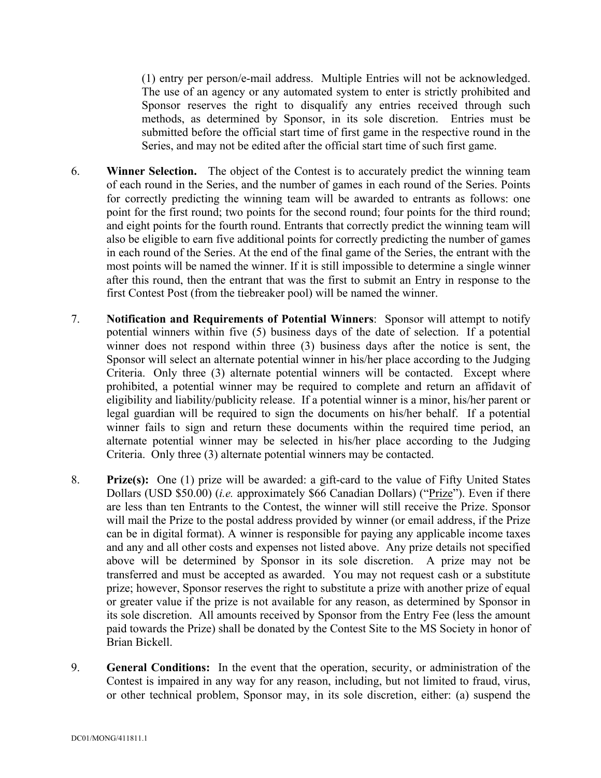(1) entry per person/e-mail address. Multiple Entries will not be acknowledged. The use of an agency or any automated system to enter is strictly prohibited and Sponsor reserves the right to disqualify any entries received through such methods, as determined by Sponsor, in its sole discretion. Entries must be submitted before the official start time of first game in the respective round in the Series, and may not be edited after the official start time of such first game.

- 6. **Winner Selection.** The object of the Contest is to accurately predict the winning team of each round in the Series, and the number of games in each round of the Series. Points for correctly predicting the winning team will be awarded to entrants as follows: one point for the first round; two points for the second round; four points for the third round; and eight points for the fourth round. Entrants that correctly predict the winning team will also be eligible to earn five additional points for correctly predicting the number of games in each round of the Series. At the end of the final game of the Series, the entrant with the most points will be named the winner. If it is still impossible to determine a single winner after this round, then the entrant that was the first to submit an Entry in response to the first Contest Post (from the tiebreaker pool) will be named the winner.
- 7. **Notification and Requirements of Potential Winners**: Sponsor will attempt to notify potential winners within five (5) business days of the date of selection. If a potential winner does not respond within three (3) business days after the notice is sent, the Sponsor will select an alternate potential winner in his/her place according to the Judging Criteria. Only three (3) alternate potential winners will be contacted. Except where prohibited, a potential winner may be required to complete and return an affidavit of eligibility and liability/publicity release. If a potential winner is a minor, his/her parent or legal guardian will be required to sign the documents on his/her behalf. If a potential winner fails to sign and return these documents within the required time period, an alternate potential winner may be selected in his/her place according to the Judging Criteria. Only three (3) alternate potential winners may be contacted.
- 8. **Prize(s):** One (1) prize will be awarded: a gift-card to the value of Fifty United States Dollars (USD \$50.00) (*i.e.* approximately \$66 Canadian Dollars) ("Prize"). Even if there are less than ten Entrants to the Contest, the winner will still receive the Prize. Sponsor will mail the Prize to the postal address provided by winner (or email address, if the Prize can be in digital format). A winner is responsible for paying any applicable income taxes and any and all other costs and expenses not listed above. Any prize details not specified above will be determined by Sponsor in its sole discretion. A prize may not be transferred and must be accepted as awarded. You may not request cash or a substitute prize; however, Sponsor reserves the right to substitute a prize with another prize of equal or greater value if the prize is not available for any reason, as determined by Sponsor in its sole discretion. All amounts received by Sponsor from the Entry Fee (less the amount paid towards the Prize) shall be donated by the Contest Site to the MS Society in honor of Brian Bickell.
- 9. **General Conditions:** In the event that the operation, security, or administration of the Contest is impaired in any way for any reason, including, but not limited to fraud, virus, or other technical problem, Sponsor may, in its sole discretion, either: (a) suspend the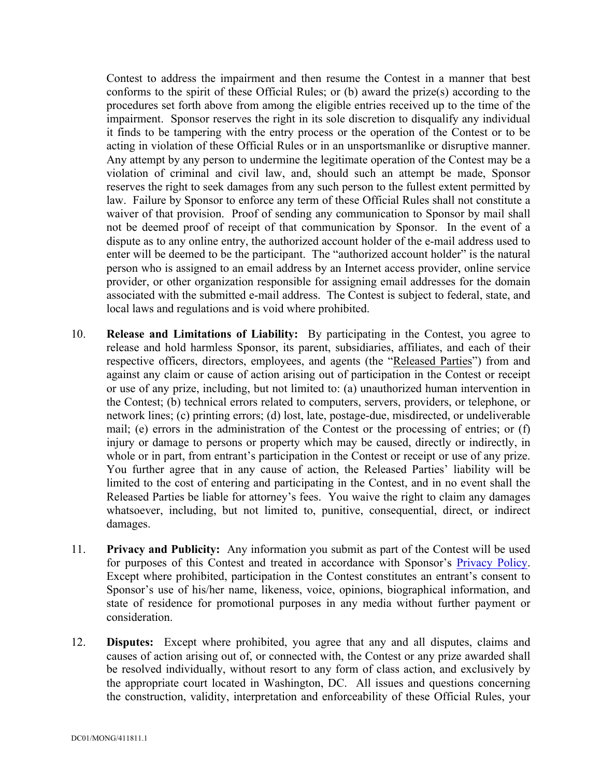Contest to address the impairment and then resume the Contest in a manner that best conforms to the spirit of these Official Rules; or (b) award the prize(s) according to the procedures set forth above from among the eligible entries received up to the time of the impairment. Sponsor reserves the right in its sole discretion to disqualify any individual it finds to be tampering with the entry process or the operation of the Contest or to be acting in violation of these Official Rules or in an unsportsmanlike or disruptive manner. Any attempt by any person to undermine the legitimate operation of the Contest may be a violation of criminal and civil law, and, should such an attempt be made, Sponsor reserves the right to seek damages from any such person to the fullest extent permitted by law. Failure by Sponsor to enforce any term of these Official Rules shall not constitute a waiver of that provision. Proof of sending any communication to Sponsor by mail shall not be deemed proof of receipt of that communication by Sponsor. In the event of a dispute as to any online entry, the authorized account holder of the e-mail address used to enter will be deemed to be the participant. The "authorized account holder" is the natural person who is assigned to an email address by an Internet access provider, online service provider, or other organization responsible for assigning email addresses for the domain associated with the submitted e-mail address. The Contest is subject to federal, state, and local laws and regulations and is void where prohibited.

- 10. **Release and Limitations of Liability:** By participating in the Contest, you agree to release and hold harmless Sponsor, its parent, subsidiaries, affiliates, and each of their respective officers, directors, employees, and agents (the "Released Parties") from and against any claim or cause of action arising out of participation in the Contest or receipt or use of any prize, including, but not limited to: (a) unauthorized human intervention in the Contest; (b) technical errors related to computers, servers, providers, or telephone, or network lines; (c) printing errors; (d) lost, late, postage-due, misdirected, or undeliverable mail; (e) errors in the administration of the Contest or the processing of entries; or (f) injury or damage to persons or property which may be caused, directly or indirectly, in whole or in part, from entrant's participation in the Contest or receipt or use of any prize. You further agree that in any cause of action, the Released Parties' liability will be limited to the cost of entering and participating in the Contest, and in no event shall the Released Parties be liable for attorney's fees. You waive the right to claim any damages whatsoever, including, but not limited to, punitive, consequential, direct, or indirect damages.
- 11. **Privacy and Publicity:** Any information you submit as part of the Contest will be used for purposes of this Contest and treated in accordance with Sponsor's Privacy Policy. Except where prohibited, participation in the Contest constitutes an entrant's consent to Sponsor's use of his/her name, likeness, voice, opinions, biographical information, and state of residence for promotional purposes in any media without further payment or consideration.
- 12. **Disputes:** Except where prohibited, you agree that any and all disputes, claims and causes of action arising out of, or connected with, the Contest or any prize awarded shall be resolved individually, without resort to any form of class action, and exclusively by the appropriate court located in Washington, DC. All issues and questions concerning the construction, validity, interpretation and enforceability of these Official Rules, your